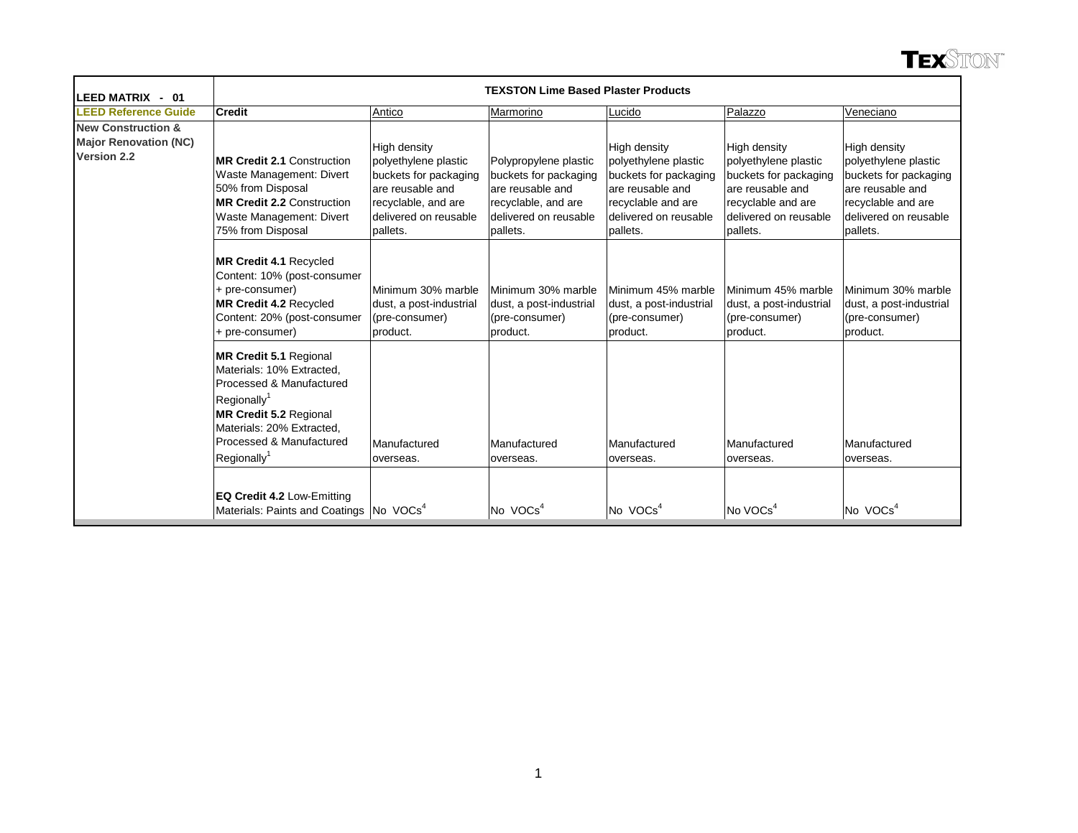| LEED MATRIX - 01                                                             | <b>TEXSTON Lime Based Plaster Products</b>                                                                                                                                                                               |                                                                                                                                               |                                                                                                                                |                                                                                                                                              |                                                                                                                                              |                                                                                                                                              |  |  |  |  |  |
|------------------------------------------------------------------------------|--------------------------------------------------------------------------------------------------------------------------------------------------------------------------------------------------------------------------|-----------------------------------------------------------------------------------------------------------------------------------------------|--------------------------------------------------------------------------------------------------------------------------------|----------------------------------------------------------------------------------------------------------------------------------------------|----------------------------------------------------------------------------------------------------------------------------------------------|----------------------------------------------------------------------------------------------------------------------------------------------|--|--|--|--|--|
| <b>LEED Reference Guide</b>                                                  | <b>Credit</b>                                                                                                                                                                                                            | Antico                                                                                                                                        | Marmorino                                                                                                                      | Lucido                                                                                                                                       | Palazzo                                                                                                                                      | Veneciano                                                                                                                                    |  |  |  |  |  |
| <b>New Construction &amp;</b><br><b>Major Renovation (NC)</b><br>Version 2.2 | <b>MR Credit 2.1 Construction</b><br>Waste Management: Divert<br>50% from Disposal<br><b>MR Credit 2.2 Construction</b><br>Waste Management: Divert<br>75% from Disposal                                                 | High density<br>polyethylene plastic<br>buckets for packaging<br>are reusable and<br>recyclable, and are<br>delivered on reusable<br>pallets. | Polypropylene plastic<br>buckets for packaging<br>are reusable and<br>recyclable, and are<br>delivered on reusable<br>pallets. | High density<br>polyethylene plastic<br>buckets for packaging<br>are reusable and<br>recyclable and are<br>delivered on reusable<br>pallets. | High density<br>polyethylene plastic<br>buckets for packaging<br>are reusable and<br>recyclable and are<br>delivered on reusable<br>pallets. | High density<br>polyethylene plastic<br>buckets for packaging<br>are reusable and<br>recyclable and are<br>delivered on reusable<br>pallets. |  |  |  |  |  |
|                                                                              | MR Credit 4.1 Recycled<br>Content: 10% (post-consumer<br>+ pre-consumer)<br>MR Credit 4.2 Recycled<br>Content: 20% (post-consumer<br>+ pre-consumer)                                                                     | Minimum 30% marble<br>dust, a post-industrial<br>(pre-consumer)<br>product.                                                                   | Minimum 30% marble<br>dust, a post-industrial<br>(pre-consumer)<br>product.                                                    | Minimum 45% marble<br>dust, a post-industrial<br>(pre-consumer)<br>product.                                                                  | Minimum 45% marble<br>dust, a post-industrial<br>(pre-consumer)<br>product.                                                                  | Minimum 30% marble<br>dust, a post-industrial<br>(pre-consumer)<br>product.                                                                  |  |  |  |  |  |
|                                                                              | MR Credit 5.1 Regional<br>Materials: 10% Extracted.<br>Processed & Manufactured<br>Regionally <sup>1</sup><br>MR Credit 5.2 Regional<br>Materials: 20% Extracted.<br>Processed & Manufactured<br>Regionally <sup>1</sup> | Manufactured<br>loverseas.                                                                                                                    | Manufactured<br>overseas.                                                                                                      | Manufactured<br>overseas.                                                                                                                    | Manufactured<br>overseas.                                                                                                                    | Manufactured<br>overseas.                                                                                                                    |  |  |  |  |  |
|                                                                              | EQ Credit 4.2 Low-Emitting<br>Materials: Paints and Coatings No VOCs <sup>4</sup>                                                                                                                                        |                                                                                                                                               | No VOCs <sup>4</sup>                                                                                                           | No VOCs <sup>4</sup>                                                                                                                         | No VOCs <sup>4</sup>                                                                                                                         | No VOCs <sup>4</sup>                                                                                                                         |  |  |  |  |  |